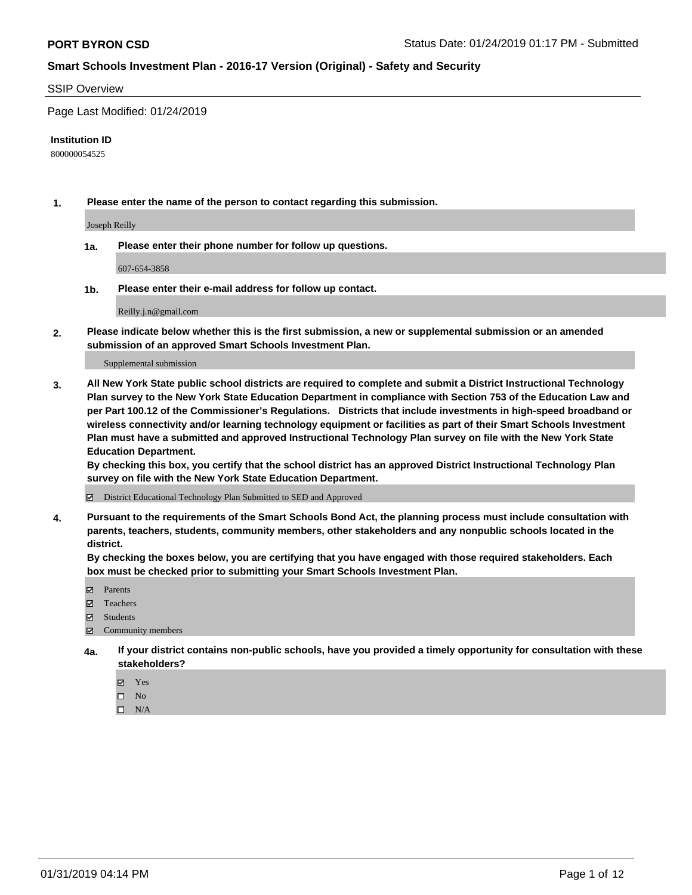#### SSIP Overview

Page Last Modified: 01/24/2019

#### **Institution ID**

800000054525

**1. Please enter the name of the person to contact regarding this submission.**

Joseph Reilly

**1a. Please enter their phone number for follow up questions.**

607-654-3858

**1b. Please enter their e-mail address for follow up contact.**

Reilly.j.n@gmail.com

**2. Please indicate below whether this is the first submission, a new or supplemental submission or an amended submission of an approved Smart Schools Investment Plan.**

Supplemental submission

**3. All New York State public school districts are required to complete and submit a District Instructional Technology Plan survey to the New York State Education Department in compliance with Section 753 of the Education Law and per Part 100.12 of the Commissioner's Regulations. Districts that include investments in high-speed broadband or wireless connectivity and/or learning technology equipment or facilities as part of their Smart Schools Investment Plan must have a submitted and approved Instructional Technology Plan survey on file with the New York State Education Department.** 

**By checking this box, you certify that the school district has an approved District Instructional Technology Plan survey on file with the New York State Education Department.**

District Educational Technology Plan Submitted to SED and Approved

**4. Pursuant to the requirements of the Smart Schools Bond Act, the planning process must include consultation with parents, teachers, students, community members, other stakeholders and any nonpublic schools located in the district.** 

**By checking the boxes below, you are certifying that you have engaged with those required stakeholders. Each box must be checked prior to submitting your Smart Schools Investment Plan.**

- **□** Parents
- Teachers
- Students
- $\boxtimes$  Community members
- **4a. If your district contains non-public schools, have you provided a timely opportunity for consultation with these stakeholders?**
	- Yes
	- $\qquad \qquad$  No
	- $\square$  N/A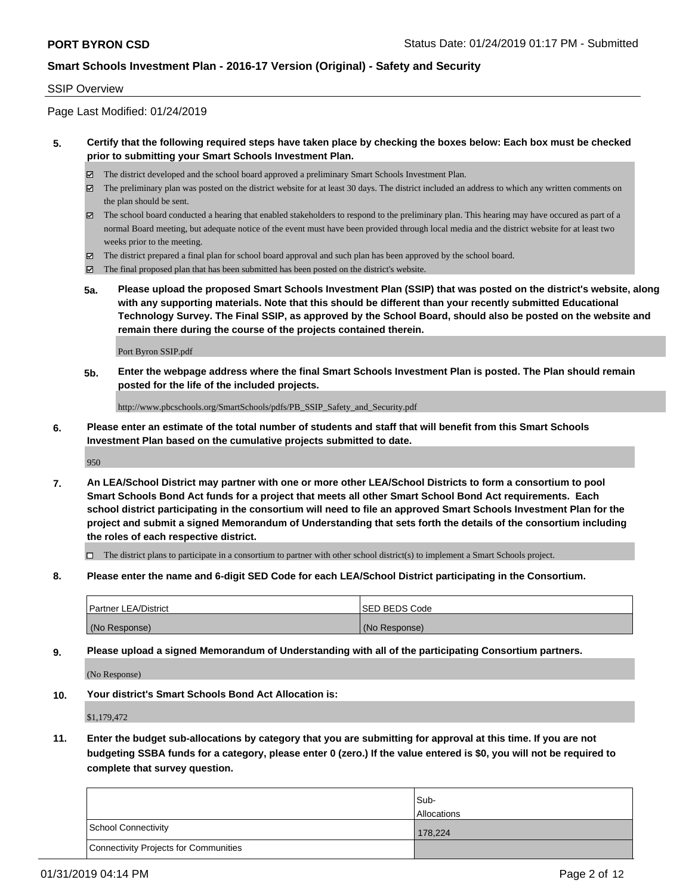#### SSIP Overview

Page Last Modified: 01/24/2019

#### **5. Certify that the following required steps have taken place by checking the boxes below: Each box must be checked prior to submitting your Smart Schools Investment Plan.**

- The district developed and the school board approved a preliminary Smart Schools Investment Plan.
- $\boxtimes$  The preliminary plan was posted on the district website for at least 30 days. The district included an address to which any written comments on the plan should be sent.
- $\boxtimes$  The school board conducted a hearing that enabled stakeholders to respond to the preliminary plan. This hearing may have occured as part of a normal Board meeting, but adequate notice of the event must have been provided through local media and the district website for at least two weeks prior to the meeting.
- The district prepared a final plan for school board approval and such plan has been approved by the school board.
- $\boxtimes$  The final proposed plan that has been submitted has been posted on the district's website.
- **5a. Please upload the proposed Smart Schools Investment Plan (SSIP) that was posted on the district's website, along with any supporting materials. Note that this should be different than your recently submitted Educational Technology Survey. The Final SSIP, as approved by the School Board, should also be posted on the website and remain there during the course of the projects contained therein.**

Port Byron SSIP.pdf

**5b. Enter the webpage address where the final Smart Schools Investment Plan is posted. The Plan should remain posted for the life of the included projects.**

http://www.pbcschools.org/SmartSchools/pdfs/PB\_SSIP\_Safety\_and\_Security.pdf

**6. Please enter an estimate of the total number of students and staff that will benefit from this Smart Schools Investment Plan based on the cumulative projects submitted to date.**

950

**7. An LEA/School District may partner with one or more other LEA/School Districts to form a consortium to pool Smart Schools Bond Act funds for a project that meets all other Smart School Bond Act requirements. Each school district participating in the consortium will need to file an approved Smart Schools Investment Plan for the project and submit a signed Memorandum of Understanding that sets forth the details of the consortium including the roles of each respective district.**

 $\Box$  The district plans to participate in a consortium to partner with other school district(s) to implement a Smart Schools project.

**8. Please enter the name and 6-digit SED Code for each LEA/School District participating in the Consortium.**

| <b>Partner LEA/District</b> | <b>ISED BEDS Code</b> |
|-----------------------------|-----------------------|
| (No Response)               | (No Response)         |

**9. Please upload a signed Memorandum of Understanding with all of the participating Consortium partners.**

(No Response)

**10. Your district's Smart Schools Bond Act Allocation is:**

\$1,179,472

**11. Enter the budget sub-allocations by category that you are submitting for approval at this time. If you are not budgeting SSBA funds for a category, please enter 0 (zero.) If the value entered is \$0, you will not be required to complete that survey question.**

|                                              | Sub-<br><b>Allocations</b> |
|----------------------------------------------|----------------------------|
| <b>School Connectivity</b>                   | 178,224                    |
| <b>Connectivity Projects for Communities</b> |                            |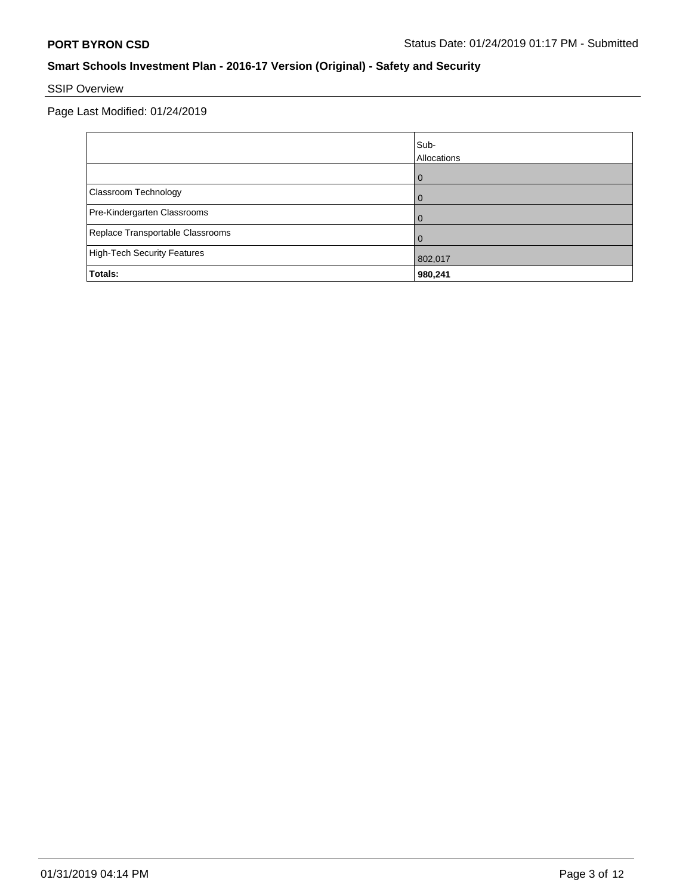# SSIP Overview

|                                    | Sub-<br>Allocations |
|------------------------------------|---------------------|
|                                    | ω                   |
| Classroom Technology               |                     |
| Pre-Kindergarten Classrooms        |                     |
| Replace Transportable Classrooms   |                     |
| <b>High-Tech Security Features</b> | 802,017             |
| Totals:                            | 980,241             |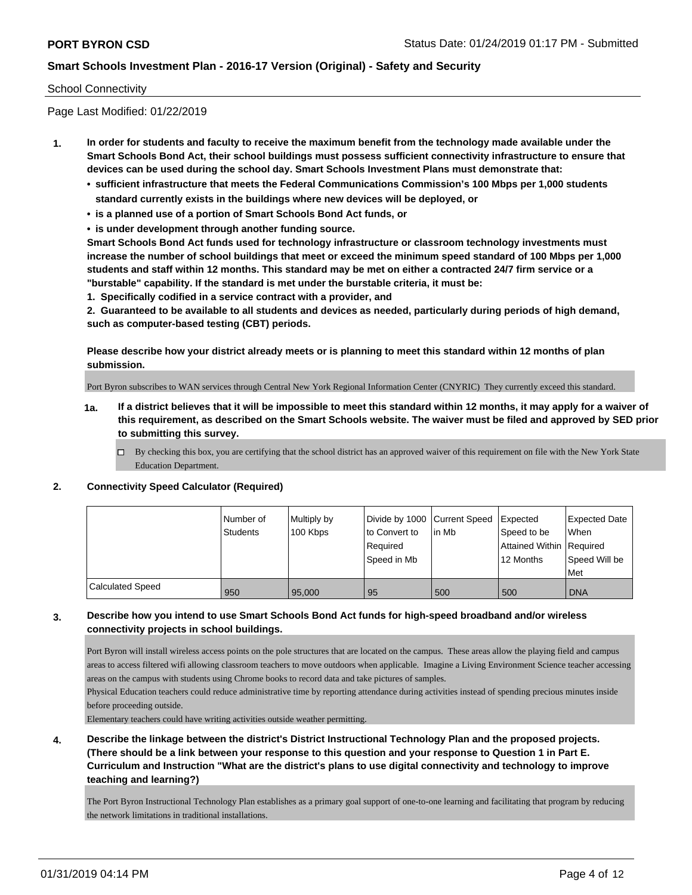#### School Connectivity

Page Last Modified: 01/22/2019

- **1. In order for students and faculty to receive the maximum benefit from the technology made available under the Smart Schools Bond Act, their school buildings must possess sufficient connectivity infrastructure to ensure that devices can be used during the school day. Smart Schools Investment Plans must demonstrate that:**
	- **• sufficient infrastructure that meets the Federal Communications Commission's 100 Mbps per 1,000 students standard currently exists in the buildings where new devices will be deployed, or**
	- **• is a planned use of a portion of Smart Schools Bond Act funds, or**
	- **• is under development through another funding source.**

**Smart Schools Bond Act funds used for technology infrastructure or classroom technology investments must increase the number of school buildings that meet or exceed the minimum speed standard of 100 Mbps per 1,000 students and staff within 12 months. This standard may be met on either a contracted 24/7 firm service or a "burstable" capability. If the standard is met under the burstable criteria, it must be:**

**1. Specifically codified in a service contract with a provider, and**

**2. Guaranteed to be available to all students and devices as needed, particularly during periods of high demand, such as computer-based testing (CBT) periods.**

**Please describe how your district already meets or is planning to meet this standard within 12 months of plan submission.**

Port Byron subscribes to WAN services through Central New York Regional Information Center (CNYRIC) They currently exceed this standard.

- **1a. If a district believes that it will be impossible to meet this standard within 12 months, it may apply for a waiver of this requirement, as described on the Smart Schools website. The waiver must be filed and approved by SED prior to submitting this survey.**
	- By checking this box, you are certifying that the school district has an approved waiver of this requirement on file with the New York State Education Department.

#### **2. Connectivity Speed Calculator (Required)**

|                  | Number of<br><b>Students</b> | Multiply by<br>100 Kbps | to Convert to<br>Required<br>Speed in Mb | Divide by 1000 Current Speed Expected<br>lin Mb | Speed to be<br>Attained Within Required<br>12 Months | <b>Expected Date</b><br>When<br>Speed Will be<br>Met |
|------------------|------------------------------|-------------------------|------------------------------------------|-------------------------------------------------|------------------------------------------------------|------------------------------------------------------|
| Calculated Speed | 950                          | 95,000                  | 95                                       | 500                                             | 500                                                  | <b>DNA</b>                                           |

#### **3. Describe how you intend to use Smart Schools Bond Act funds for high-speed broadband and/or wireless connectivity projects in school buildings.**

Port Byron will install wireless access points on the pole structures that are located on the campus. These areas allow the playing field and campus areas to access filtered wifi allowing classroom teachers to move outdoors when applicable. Imagine a Living Environment Science teacher accessing areas on the campus with students using Chrome books to record data and take pictures of samples.

Physical Education teachers could reduce administrative time by reporting attendance during activities instead of spending precious minutes inside before proceeding outside.

Elementary teachers could have writing activities outside weather permitting.

**4. Describe the linkage between the district's District Instructional Technology Plan and the proposed projects. (There should be a link between your response to this question and your response to Question 1 in Part E. Curriculum and Instruction "What are the district's plans to use digital connectivity and technology to improve teaching and learning?)**

The Port Byron Instructional Technology Plan establishes as a primary goal support of one-to-one learning and facilitating that program by reducing the network limitations in traditional installations.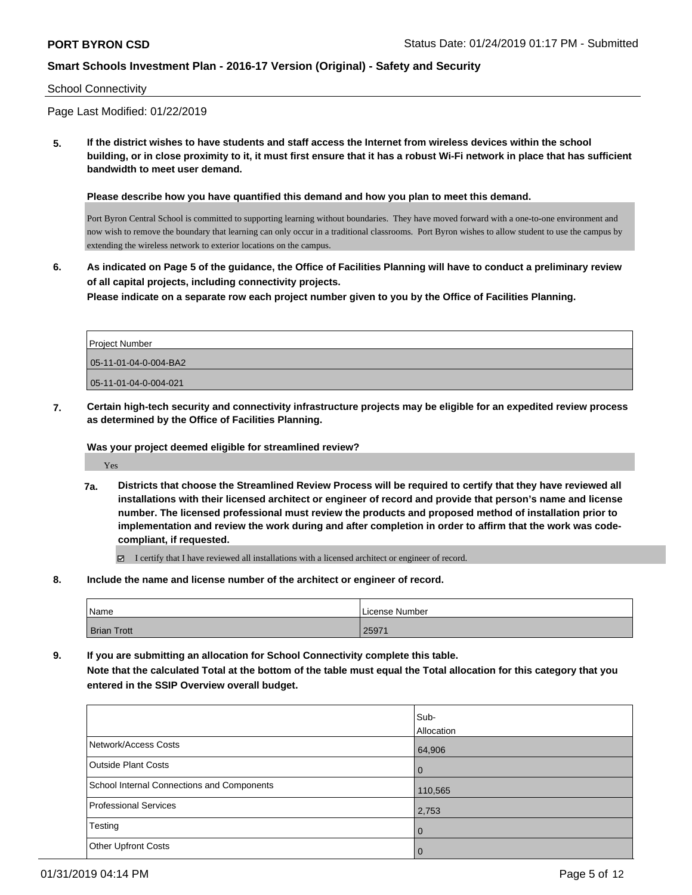#### School Connectivity

Page Last Modified: 01/22/2019

**5. If the district wishes to have students and staff access the Internet from wireless devices within the school building, or in close proximity to it, it must first ensure that it has a robust Wi-Fi network in place that has sufficient bandwidth to meet user demand.**

**Please describe how you have quantified this demand and how you plan to meet this demand.**

Port Byron Central School is committed to supporting learning without boundaries. They have moved forward with a one-to-one environment and now wish to remove the boundary that learning can only occur in a traditional classrooms. Port Byron wishes to allow student to use the campus by extending the wireless network to exterior locations on the campus.

**6. As indicated on Page 5 of the guidance, the Office of Facilities Planning will have to conduct a preliminary review of all capital projects, including connectivity projects. Please indicate on a separate row each project number given to you by the Office of Facilities Planning.**

Project Number 05-11-01-04-0-004-BA2 05-11-01-04-0-004-021

**7. Certain high-tech security and connectivity infrastructure projects may be eligible for an expedited review process as determined by the Office of Facilities Planning.**

#### **Was your project deemed eligible for streamlined review?**

Yes

**7a. Districts that choose the Streamlined Review Process will be required to certify that they have reviewed all installations with their licensed architect or engineer of record and provide that person's name and license number. The licensed professional must review the products and proposed method of installation prior to implementation and review the work during and after completion in order to affirm that the work was codecompliant, if requested.**

I certify that I have reviewed all installations with a licensed architect or engineer of record.

**8. Include the name and license number of the architect or engineer of record.**

| Name        | License Number |
|-------------|----------------|
| Brian Trott | 25971          |

**9. If you are submitting an allocation for School Connectivity complete this table. Note that the calculated Total at the bottom of the table must equal the Total allocation for this category that you entered in the SSIP Overview overall budget.** 

|                                            | Sub-<br>Allocation |
|--------------------------------------------|--------------------|
| Network/Access Costs                       | 64,906             |
| <b>Outside Plant Costs</b>                 | $\overline{0}$     |
| School Internal Connections and Components | 110,565            |
| <b>Professional Services</b>               | 2,753              |
| Testing                                    | $\overline{0}$     |
| <b>Other Upfront Costs</b>                 | $\overline{0}$     |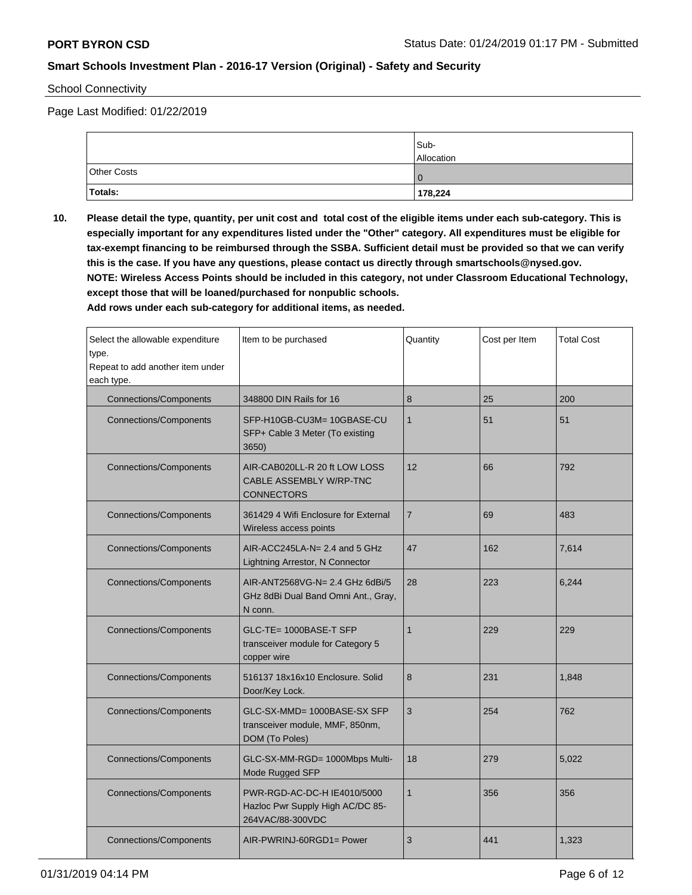School Connectivity

Page Last Modified: 01/22/2019

|             | Sub-<br>Allocation |
|-------------|--------------------|
| Other Costs |                    |
| Totals:     | 178,224            |

**10. Please detail the type, quantity, per unit cost and total cost of the eligible items under each sub-category. This is especially important for any expenditures listed under the "Other" category. All expenditures must be eligible for tax-exempt financing to be reimbursed through the SSBA. Sufficient detail must be provided so that we can verify this is the case. If you have any questions, please contact us directly through smartschools@nysed.gov. NOTE: Wireless Access Points should be included in this category, not under Classroom Educational Technology, except those that will be loaned/purchased for nonpublic schools.**

**Add rows under each sub-category for additional items, as needed.**

| Select the allowable expenditure<br>type.<br>Repeat to add another item under<br>each type. | Item to be purchased                                                                | Quantity       | Cost per Item | <b>Total Cost</b> |
|---------------------------------------------------------------------------------------------|-------------------------------------------------------------------------------------|----------------|---------------|-------------------|
| <b>Connections/Components</b>                                                               | 348800 DIN Rails for 16                                                             | 8              | 25            | 200               |
| <b>Connections/Components</b>                                                               | SFP-H10GB-CU3M= 10GBASE-CU<br>SFP+ Cable 3 Meter (To existing<br>3650)              | $\mathbf{1}$   | 51            | 51                |
| <b>Connections/Components</b>                                                               | AIR-CAB020LL-R 20 ft LOW LOSS<br>CABLE ASSEMBLY W/RP-TNC<br><b>CONNECTORS</b>       | 12             | 66            | 792               |
| <b>Connections/Components</b>                                                               | 361429 4 Wifi Enclosure for External<br>Wireless access points                      | $\overline{7}$ | 69            | 483               |
| <b>Connections/Components</b>                                                               | AIR-ACC245LA-N= 2.4 and 5 GHz<br>Lightning Arrestor, N Connector                    | 47             | 162           | 7,614             |
| <b>Connections/Components</b>                                                               | AIR-ANT2568VG-N= 2.4 GHz 6dBi/5<br>GHz 8dBi Dual Band Omni Ant., Gray,<br>N conn.   | 28             | 223           | 6,244             |
| <b>Connections/Components</b>                                                               | GLC-TE= 1000BASE-T SFP<br>transceiver module for Category 5<br>copper wire          | $\mathbf{1}$   | 229           | 229               |
| <b>Connections/Components</b>                                                               | 516137 18x16x10 Enclosure, Solid<br>Door/Key Lock.                                  | 8              | 231           | 1,848             |
| <b>Connections/Components</b>                                                               | GLC-SX-MMD= 1000BASE-SX SFP<br>transceiver module, MMF, 850nm,<br>DOM (To Poles)    | 3              | 254           | 762               |
| <b>Connections/Components</b>                                                               | GLC-SX-MM-RGD= 1000Mbps Multi-<br>Mode Rugged SFP                                   | 18             | 279           | 5,022             |
| <b>Connections/Components</b>                                                               | PWR-RGD-AC-DC-H IE4010/5000<br>Hazloc Pwr Supply High AC/DC 85-<br>264VAC/88-300VDC | $\mathbf{1}$   | 356           | 356               |
| <b>Connections/Components</b>                                                               | AIR-PWRINJ-60RGD1= Power                                                            | 3              | 441           | 1,323             |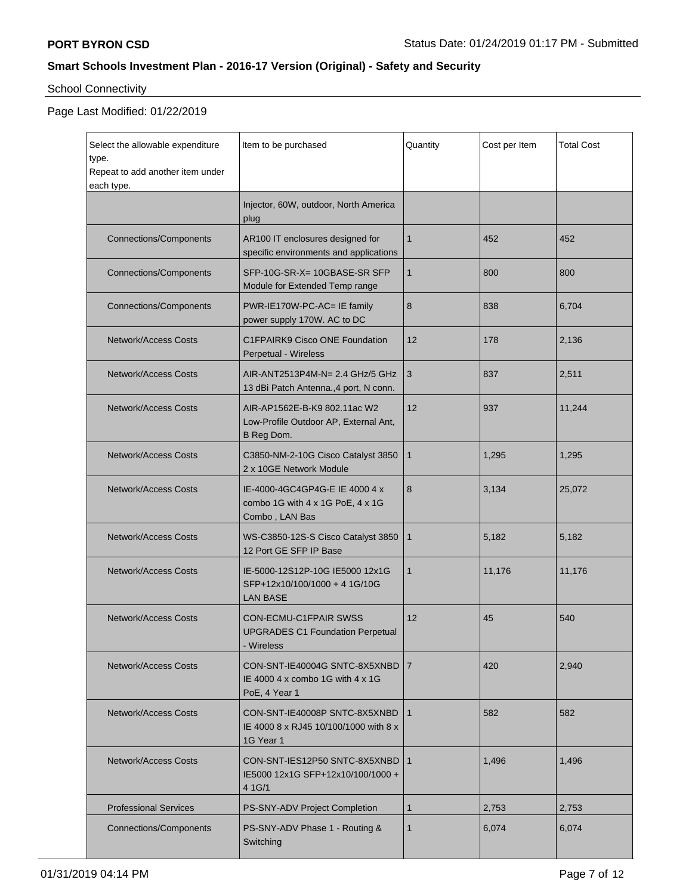# School Connectivity

| Select the allowable expenditure<br>type.<br>Repeat to add another item under<br>each type. | Item to be purchased                                                                       | Quantity       | Cost per Item | Total Cost |
|---------------------------------------------------------------------------------------------|--------------------------------------------------------------------------------------------|----------------|---------------|------------|
|                                                                                             | Injector, 60W, outdoor, North America<br>plug                                              |                |               |            |
| <b>Connections/Components</b>                                                               | AR100 IT enclosures designed for<br>specific environments and applications                 | $\mathbf{1}$   | 452           | 452        |
| <b>Connections/Components</b>                                                               | SFP-10G-SR-X= 10GBASE-SR SFP<br>Module for Extended Temp range                             | $\mathbf{1}$   | 800           | 800        |
| <b>Connections/Components</b>                                                               | PWR-IE170W-PC-AC= IE family<br>power supply 170W. AC to DC                                 | 8              | 838           | 6,704      |
| <b>Network/Access Costs</b>                                                                 | C1FPAIRK9 Cisco ONE Foundation<br>Perpetual - Wireless                                     | 12             | 178           | 2,136      |
| <b>Network/Access Costs</b>                                                                 | AIR-ANT2513P4M-N= 2.4 GHz/5 GHz<br>13 dBi Patch Antenna., 4 port, N conn.                  | 3              | 837           | 2,511      |
| <b>Network/Access Costs</b>                                                                 | AIR-AP1562E-B-K9 802.11ac W2<br>Low-Profile Outdoor AP, External Ant,<br>B Reg Dom.        | 12             | 937           | 11,244     |
| <b>Network/Access Costs</b>                                                                 | C3850-NM-2-10G Cisco Catalyst 3850<br>2 x 10GE Network Module                              | $\mathbf{1}$   | 1,295         | 1,295      |
| <b>Network/Access Costs</b>                                                                 | IE-4000-4GC4GP4G-E IE 4000 4 x<br>combo 1G with 4 x 1G PoE, 4 x 1G<br>Combo, LAN Bas       | 8              | 3,134         | 25,072     |
| <b>Network/Access Costs</b>                                                                 | WS-C3850-12S-S Cisco Catalyst 3850<br>12 Port GE SFP IP Base                               | $\mathbf{1}$   | 5,182         | 5,182      |
| <b>Network/Access Costs</b>                                                                 | IE-5000-12S12P-10G IE5000 12x1G<br>SFP+12x10/100/1000 + 4 1G/10G<br><b>LAN BASE</b>        | 1              | 11,176        | 11,176     |
| <b>Network/Access Costs</b>                                                                 | <b>CON-ECMU-C1FPAIR SWSS</b><br><b>UPGRADES C1 Foundation Perpetual</b><br>- Wireless      | 12             | 45            | 540        |
| <b>Network/Access Costs</b>                                                                 | CON-SNT-IE40004G SNTC-8X5XNBD<br>IE 4000 4 x combo 1G with $4 \times 1$ G<br>PoE, 4 Year 1 | $\overline{7}$ | 420           | 2,940      |
| <b>Network/Access Costs</b>                                                                 | CON-SNT-IE40008P SNTC-8X5XNBD<br>IE 4000 8 x RJ45 10/100/1000 with 8 x<br>1G Year 1        | $\mathbf{1}$   | 582           | 582        |
| <b>Network/Access Costs</b>                                                                 | CON-SNT-IES12P50 SNTC-8X5XNBD<br>IE5000 12x1G SFP+12x10/100/1000 +<br>4 1 G/1              | $\mathbf{1}$   | 1,496         | 1,496      |
| <b>Professional Services</b>                                                                | PS-SNY-ADV Project Completion                                                              | 1              | 2,753         | 2,753      |
| <b>Connections/Components</b>                                                               | PS-SNY-ADV Phase 1 - Routing &<br>Switching                                                | 1              | 6,074         | 6,074      |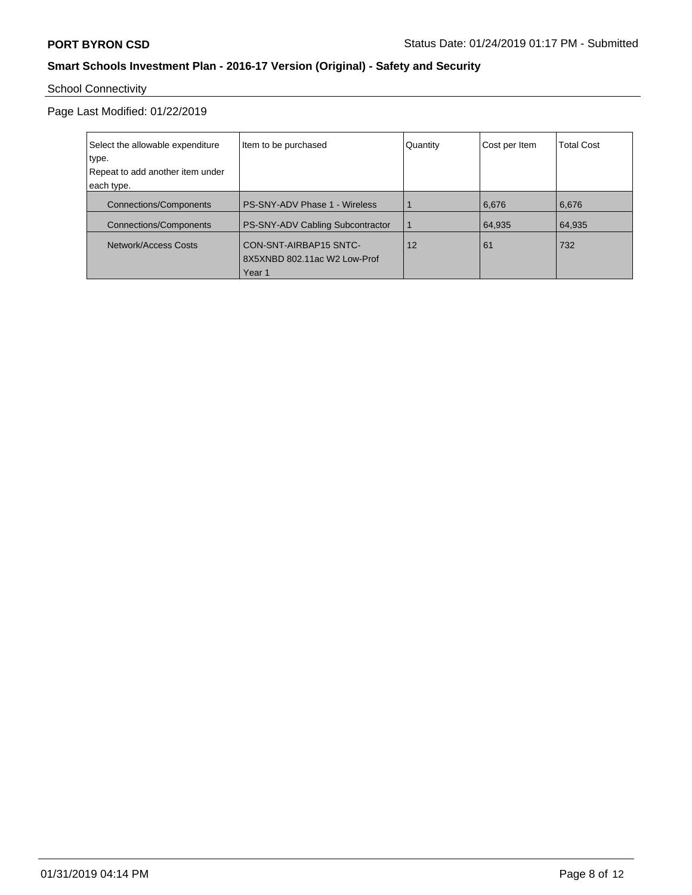# School Connectivity

| Select the allowable expenditure | Item to be purchased                 | Quantity | Cost per Item | <b>Total Cost</b> |
|----------------------------------|--------------------------------------|----------|---------------|-------------------|
| type.                            |                                      |          |               |                   |
| Repeat to add another item under |                                      |          |               |                   |
| each type.                       |                                      |          |               |                   |
| <b>Connections/Components</b>    | <b>PS-SNY-ADV Phase 1 - Wireless</b> |          | 6,676         | 6,676             |
| <b>Connections/Components</b>    | PS-SNY-ADV Cabling Subcontractor     |          | 64,935        | 64,935            |
| Network/Access Costs             | CON-SNT-AIRBAP15 SNTC-               | 12       | 61            | 732               |
|                                  | 8X5XNBD 802.11ac W2 Low-Prof         |          |               |                   |
|                                  | Year <sub>1</sub>                    |          |               |                   |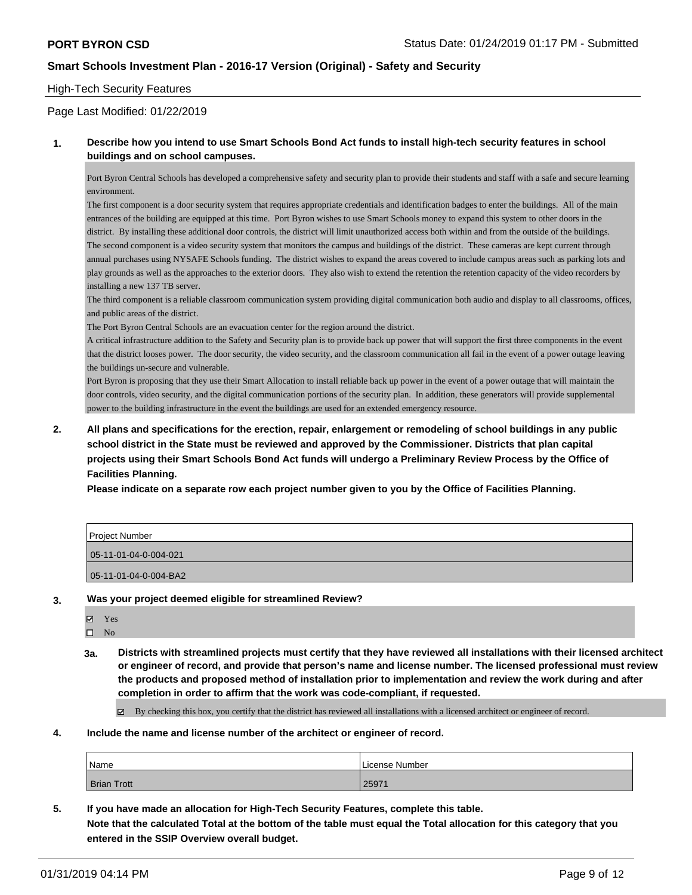#### High-Tech Security Features

Page Last Modified: 01/22/2019

#### **1. Describe how you intend to use Smart Schools Bond Act funds to install high-tech security features in school buildings and on school campuses.**

Port Byron Central Schools has developed a comprehensive safety and security plan to provide their students and staff with a safe and secure learning environment.

The first component is a door security system that requires appropriate credentials and identification badges to enter the buildings. All of the main entrances of the building are equipped at this time. Port Byron wishes to use Smart Schools money to expand this system to other doors in the district. By installing these additional door controls, the district will limit unauthorized access both within and from the outside of the buildings. The second component is a video security system that monitors the campus and buildings of the district. These cameras are kept current through annual purchases using NYSAFE Schools funding. The district wishes to expand the areas covered to include campus areas such as parking lots and play grounds as well as the approaches to the exterior doors. They also wish to extend the retention the retention capacity of the video recorders by installing a new 137 TB server.

The third component is a reliable classroom communication system providing digital communication both audio and display to all classrooms, offices, and public areas of the district.

The Port Byron Central Schools are an evacuation center for the region around the district.

A critical infrastructure addition to the Safety and Security plan is to provide back up power that will support the first three components in the event that the district looses power. The door security, the video security, and the classroom communication all fail in the event of a power outage leaving the buildings un-secure and vulnerable.

Port Byron is proposing that they use their Smart Allocation to install reliable back up power in the event of a power outage that will maintain the door controls, video security, and the digital communication portions of the security plan. In addition, these generators will provide supplemental power to the building infrastructure in the event the buildings are used for an extended emergency resource.

**2. All plans and specifications for the erection, repair, enlargement or remodeling of school buildings in any public school district in the State must be reviewed and approved by the Commissioner. Districts that plan capital projects using their Smart Schools Bond Act funds will undergo a Preliminary Review Process by the Office of Facilities Planning.** 

**Please indicate on a separate row each project number given to you by the Office of Facilities Planning.**

| <b>Project Number</b> |
|-----------------------|
| 05-11-01-04-0-004-021 |
| 05-11-01-04-0-004-BA2 |

**3. Was your project deemed eligible for streamlined Review?**

**Z** Yes

 $\square$  No

**3a. Districts with streamlined projects must certify that they have reviewed all installations with their licensed architect or engineer of record, and provide that person's name and license number. The licensed professional must review the products and proposed method of installation prior to implementation and review the work during and after completion in order to affirm that the work was code-compliant, if requested.**

By checking this box, you certify that the district has reviewed all installations with a licensed architect or engineer of record.

**4. Include the name and license number of the architect or engineer of record.**

| Name               | License Number |
|--------------------|----------------|
| <b>Brian Trott</b> | 25971          |

**5. If you have made an allocation for High-Tech Security Features, complete this table. Note that the calculated Total at the bottom of the table must equal the Total allocation for this category that you entered in the SSIP Overview overall budget.**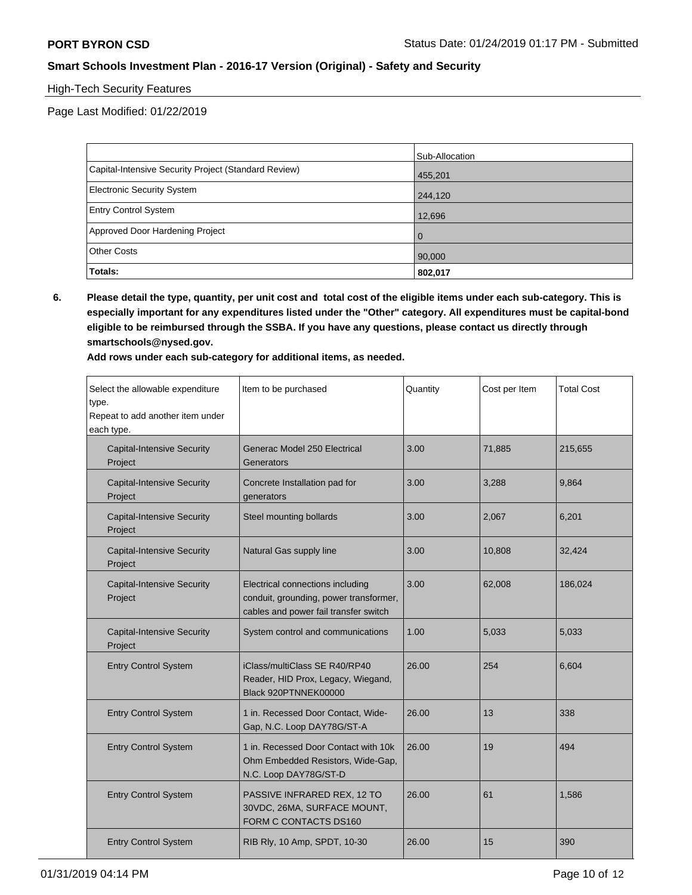#### High-Tech Security Features

Page Last Modified: 01/22/2019

|                                                      | Sub-Allocation |
|------------------------------------------------------|----------------|
| Capital-Intensive Security Project (Standard Review) | 455,201        |
| Electronic Security System                           | 244,120        |
| <b>Entry Control System</b>                          | 12,696         |
| Approved Door Hardening Project                      | $\Omega$       |
| <b>Other Costs</b>                                   | 90,000         |
| Totals:                                              | 802,017        |

**6. Please detail the type, quantity, per unit cost and total cost of the eligible items under each sub-category. This is especially important for any expenditures listed under the "Other" category. All expenditures must be capital-bond eligible to be reimbursed through the SSBA. If you have any questions, please contact us directly through smartschools@nysed.gov.**

**Add rows under each sub-category for additional items, as needed.**

| Select the allowable expenditure<br>type.<br>Repeat to add another item under<br>each type. | Item to be purchased                                                                                                | Quantity | Cost per Item | <b>Total Cost</b> |
|---------------------------------------------------------------------------------------------|---------------------------------------------------------------------------------------------------------------------|----------|---------------|-------------------|
| <b>Capital-Intensive Security</b><br>Project                                                | Generac Model 250 Electrical<br>Generators                                                                          | 3.00     | 71,885        | 215,655           |
| <b>Capital-Intensive Security</b><br>Project                                                | Concrete Installation pad for<br>generators                                                                         | 3.00     | 3,288         | 9,864             |
| <b>Capital-Intensive Security</b><br>Project                                                | Steel mounting bollards                                                                                             | 3.00     | 2,067         | 6,201             |
| <b>Capital-Intensive Security</b><br>Project                                                | Natural Gas supply line                                                                                             | 3.00     | 10,808        | 32,424            |
| <b>Capital-Intensive Security</b><br>Project                                                | Electrical connections including<br>conduit, grounding, power transformer,<br>cables and power fail transfer switch | 3.00     | 62,008        | 186,024           |
| <b>Capital-Intensive Security</b><br>Project                                                | System control and communications                                                                                   | 1.00     | 5,033         | 5,033             |
| <b>Entry Control System</b>                                                                 | iClass/multiClass SE R40/RP40<br>Reader, HID Prox, Legacy, Wiegand,<br>Black 920PTNNEK00000                         | 26.00    | 254           | 6,604             |
| <b>Entry Control System</b>                                                                 | 1 in. Recessed Door Contact, Wide-<br>Gap, N.C. Loop DAY78G/ST-A                                                    | 26.00    | 13            | 338               |
| <b>Entry Control System</b>                                                                 | 1 in. Recessed Door Contact with 10k<br>Ohm Embedded Resistors, Wide-Gap,<br>N.C. Loop DAY78G/ST-D                  | 26.00    | 19            | 494               |
| <b>Entry Control System</b>                                                                 | PASSIVE INFRARED REX, 12 TO<br>30VDC, 26MA, SURFACE MOUNT,<br>FORM C CONTACTS DS160                                 | 26.00    | 61            | 1,586             |
| <b>Entry Control System</b>                                                                 | RIB Rly, 10 Amp, SPDT, 10-30                                                                                        | 26.00    | 15            | 390               |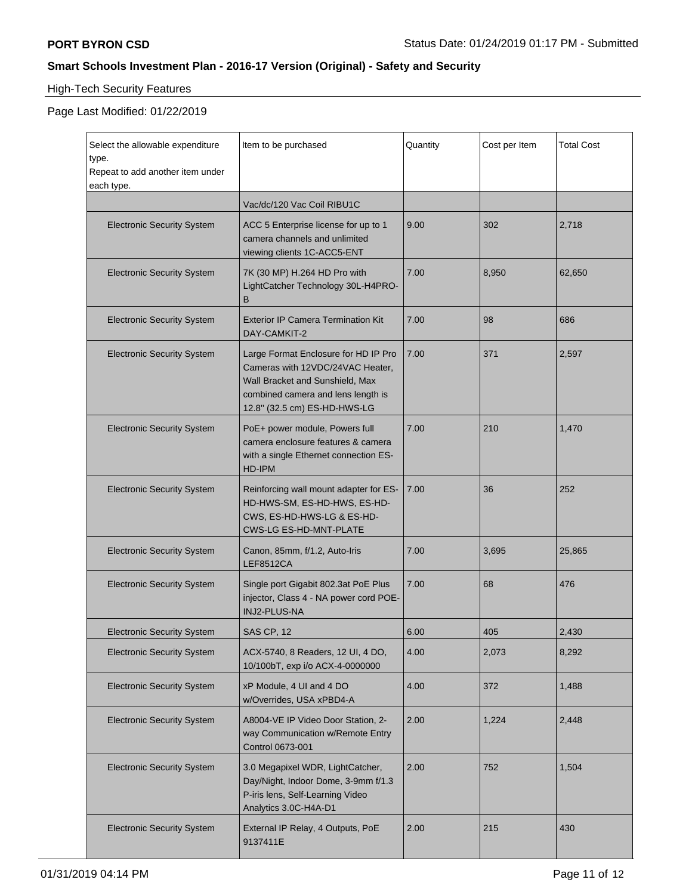# High-Tech Security Features

| Select the allowable expenditure<br>type.<br>Repeat to add another item under<br>each type. | Item to be purchased                                                                                                                                                              | Quantity | Cost per Item | <b>Total Cost</b> |
|---------------------------------------------------------------------------------------------|-----------------------------------------------------------------------------------------------------------------------------------------------------------------------------------|----------|---------------|-------------------|
|                                                                                             | Vac/dc/120 Vac Coil RIBU1C                                                                                                                                                        |          |               |                   |
| <b>Electronic Security System</b>                                                           | ACC 5 Enterprise license for up to 1<br>camera channels and unlimited<br>viewing clients 1C-ACC5-ENT                                                                              | 9.00     | 302           | 2,718             |
| <b>Electronic Security System</b>                                                           | 7K (30 MP) H.264 HD Pro with<br>LightCatcher Technology 30L-H4PRO-<br>B                                                                                                           | 7.00     | 8,950         | 62,650            |
| <b>Electronic Security System</b>                                                           | <b>Exterior IP Camera Termination Kit</b><br>DAY-CAMKIT-2                                                                                                                         | 7.00     | 98            | 686               |
| <b>Electronic Security System</b>                                                           | Large Format Enclosure for HD IP Pro<br>Cameras with 12VDC/24VAC Heater,<br>Wall Bracket and Sunshield, Max<br>combined camera and lens length is<br>12.8" (32.5 cm) ES-HD-HWS-LG | 7.00     | 371           | 2,597             |
| <b>Electronic Security System</b>                                                           | PoE+ power module, Powers full<br>camera enclosure features & camera<br>with a single Ethernet connection ES-<br>HD-IPM                                                           | 7.00     | 210           | 1,470             |
| <b>Electronic Security System</b>                                                           | Reinforcing wall mount adapter for ES-<br>HD-HWS-SM, ES-HD-HWS, ES-HD-<br>CWS, ES-HD-HWS-LG & ES-HD-<br><b>CWS-LG ES-HD-MNT-PLATE</b>                                             | 7.00     | 36            | 252               |
| <b>Electronic Security System</b>                                                           | Canon, 85mm, f/1.2, Auto-Iris<br><b>LEF8512CA</b>                                                                                                                                 | 7.00     | 3,695         | 25,865            |
| <b>Electronic Security System</b>                                                           | Single port Gigabit 802.3at PoE Plus<br>injector, Class 4 - NA power cord POE-<br>INJ2-PLUS-NA                                                                                    | 7.00     | 68            | 476               |
| <b>Electronic Security System</b>                                                           | SAS CP, 12                                                                                                                                                                        | 6.00     | 405           | 2,430             |
| <b>Electronic Security System</b>                                                           | ACX-5740, 8 Readers, 12 UI, 4 DO,<br>10/100bT, exp i/o ACX-4-0000000                                                                                                              | 4.00     | 2,073         | 8,292             |
| <b>Electronic Security System</b>                                                           | xP Module, 4 UI and 4 DO<br>w/Overrides, USA xPBD4-A                                                                                                                              | 4.00     | 372           | 1,488             |
| <b>Electronic Security System</b>                                                           | A8004-VE IP Video Door Station, 2-<br>way Communication w/Remote Entry<br>Control 0673-001                                                                                        | 2.00     | 1,224         | 2,448             |
| <b>Electronic Security System</b>                                                           | 3.0 Megapixel WDR, LightCatcher,<br>Day/Night, Indoor Dome, 3-9mm f/1.3<br>P-iris lens, Self-Learning Video<br>Analytics 3.0C-H4A-D1                                              | 2.00     | 752           | 1,504             |
| <b>Electronic Security System</b>                                                           | External IP Relay, 4 Outputs, PoE<br>9137411E                                                                                                                                     | 2.00     | 215           | 430               |